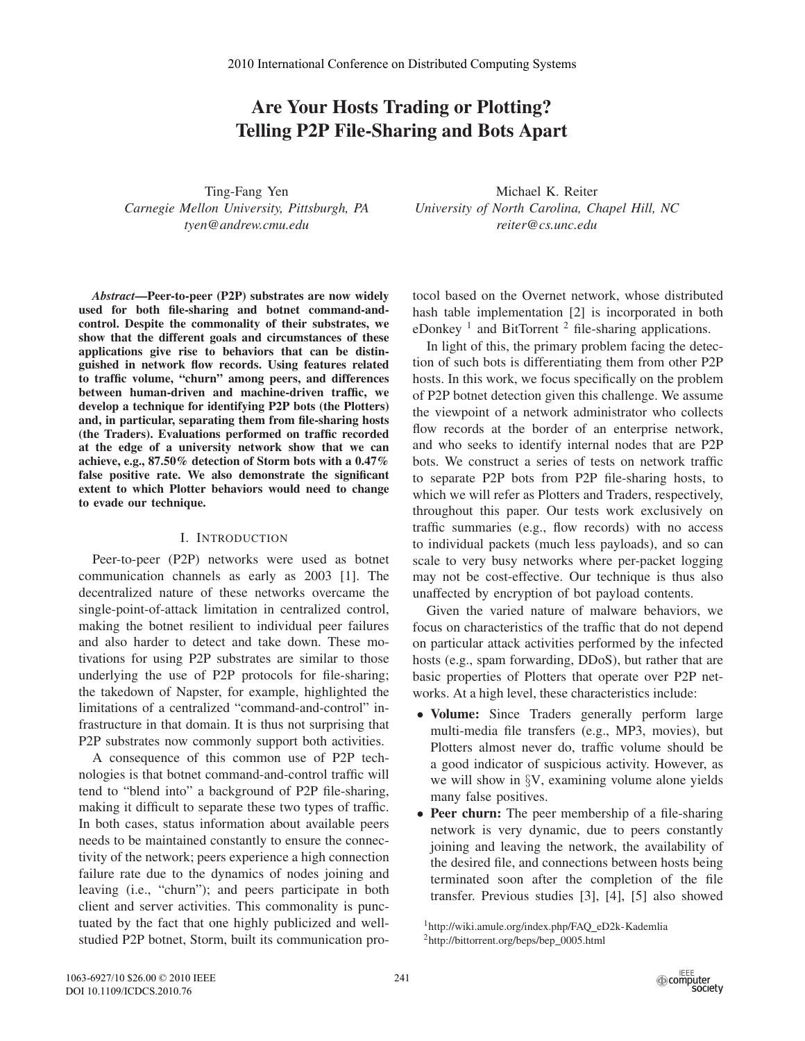# **Are Your Hosts Trading or Plotting? Telling P2P File-Sharing and Bots Apart**

Ting-Fang Yen *Carnegie Mellon University, Pittsburgh, PA tyen@andrew.cmu.edu*

Michael K. Reiter *University of North Carolina, Chapel Hill, NC reiter@cs.unc.edu*

*Abstract***—Peer-to-peer (P2P) substrates are now widely used for both file-sharing and botnet command-andcontrol. Despite the commonality of their substrates, we show that the different goals and circumstances of these applications give rise to behaviors that can be distinguished in network flow records. Using features related to traffic volume, "churn" among peers, and differences between human-driven and machine-driven traffic, we develop a technique for identifying P2P bots (the Plotters) and, in particular, separating them from file-sharing hosts (the Traders). Evaluations performed on traffic recorded at the edge of a university network show that we can achieve, e.g., 87.50% detection of Storm bots with a 0.47% false positive rate. We also demonstrate the significant extent to which Plotter behaviors would need to change to evade our technique.**

### I. INTRODUCTION

Peer-to-peer (P2P) networks were used as botnet communication channels as early as 2003 [1]. The decentralized nature of these networks overcame the single-point-of-attack limitation in centralized control, making the botnet resilient to individual peer failures and also harder to detect and take down. These motivations for using P2P substrates are similar to those underlying the use of P2P protocols for file-sharing; the takedown of Napster, for example, highlighted the limitations of a centralized "command-and-control" infrastructure in that domain. It is thus not surprising that P2P substrates now commonly support both activities.

A consequence of this common use of P2P technologies is that botnet command-and-control traffic will tend to "blend into" a background of P2P file-sharing, making it difficult to separate these two types of traffic. In both cases, status information about available peers needs to be maintained constantly to ensure the connectivity of the network; peers experience a high connection failure rate due to the dynamics of nodes joining and leaving (i.e., "churn"); and peers participate in both client and server activities. This commonality is punctuated by the fact that one highly publicized and wellstudied P2P botnet, Storm, built its communication protocol based on the Overnet network, whose distributed hash table implementation [2] is incorporated in both eDonkey<sup>1</sup> and BitTorrent<sup>2</sup> file-sharing applications.

In light of this, the primary problem facing the detection of such bots is differentiating them from other P2P hosts. In this work, we focus specifically on the problem of P2P botnet detection given this challenge. We assume the viewpoint of a network administrator who collects flow records at the border of an enterprise network, and who seeks to identify internal nodes that are P2P bots. We construct a series of tests on network traffic to separate P2P bots from P2P file-sharing hosts, to which we will refer as Plotters and Traders, respectively, throughout this paper. Our tests work exclusively on traffic summaries (e.g., flow records) with no access to individual packets (much less payloads), and so can scale to very busy networks where per-packet logging may not be cost-effective. Our technique is thus also unaffected by encryption of bot payload contents.

Given the varied nature of malware behaviors, we focus on characteristics of the traffic that do not depend on particular attack activities performed by the infected hosts (e.g., spam forwarding, DDoS), but rather that are basic properties of Plotters that operate over P2P networks. At a high level, these characteristics include:

- **Volume:** Since Traders generally perform large multi-media file transfers (e.g., MP3, movies), but Plotters almost never do, traffic volume should be a good indicator of suspicious activity. However, as we will show in §V, examining volume alone yields many false positives.
- **Peer churn:** The peer membership of a file-sharing network is very dynamic, due to peers constantly joining and leaving the network, the availability of the desired file, and connections between hosts being terminated soon after the completion of the file transfer. Previous studies [3], [4], [5] also showed

<sup>&</sup>lt;sup>1</sup>http://wiki.amule.org/index.php/FAQ\_eD2k-Kademlia <sup>2</sup>http://bittorrent.org/beps/bep\_0005.html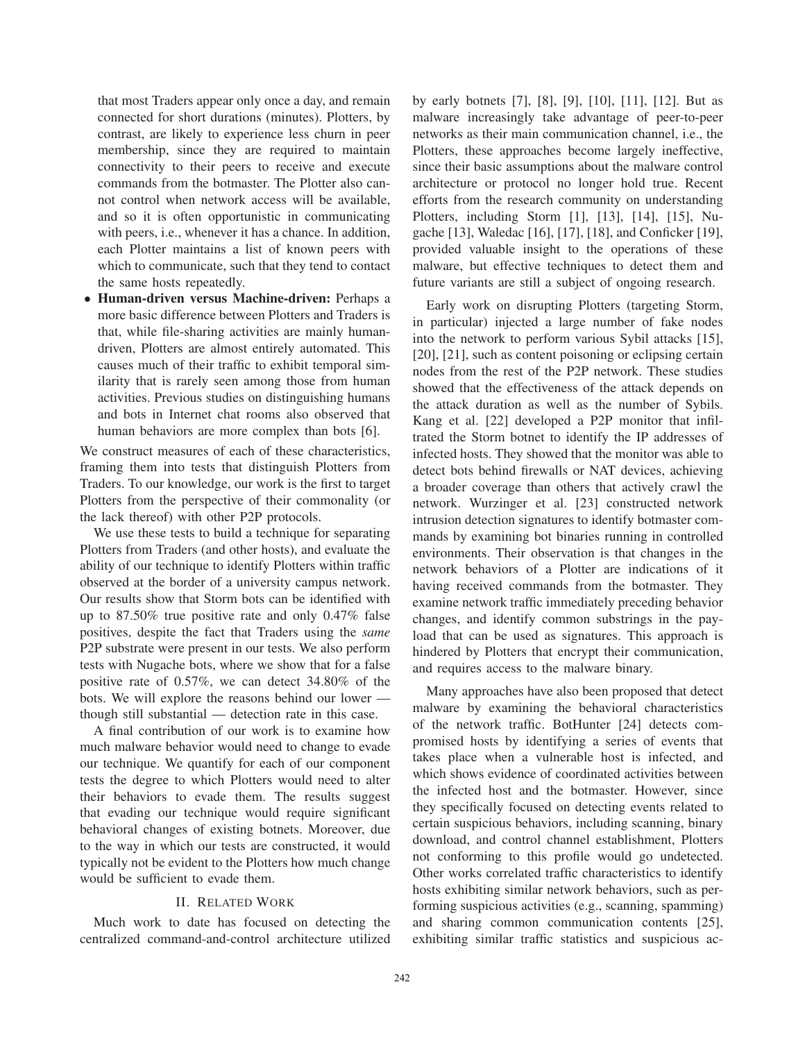that most Traders appear only once a day, and remain connected for short durations (minutes). Plotters, by contrast, are likely to experience less churn in peer membership, since they are required to maintain connectivity to their peers to receive and execute commands from the botmaster. The Plotter also cannot control when network access will be available, and so it is often opportunistic in communicating with peers, i.e., whenever it has a chance. In addition, each Plotter maintains a list of known peers with which to communicate, such that they tend to contact the same hosts repeatedly.

• **Human-driven versus Machine-driven:** Perhaps a more basic difference between Plotters and Traders is that, while file-sharing activities are mainly humandriven, Plotters are almost entirely automated. This causes much of their traffic to exhibit temporal similarity that is rarely seen among those from human activities. Previous studies on distinguishing humans and bots in Internet chat rooms also observed that human behaviors are more complex than bots [6].

We construct measures of each of these characteristics, framing them into tests that distinguish Plotters from Traders. To our knowledge, our work is the first to target Plotters from the perspective of their commonality (or the lack thereof) with other P2P protocols.

We use these tests to build a technique for separating Plotters from Traders (and other hosts), and evaluate the ability of our technique to identify Plotters within traffic observed at the border of a university campus network. Our results show that Storm bots can be identified with up to 87.50% true positive rate and only 0.47% false positives, despite the fact that Traders using the *same* P2P substrate were present in our tests. We also perform tests with Nugache bots, where we show that for a false positive rate of 0.57%, we can detect 34.80% of the bots. We will explore the reasons behind our lower though still substantial — detection rate in this case.

A final contribution of our work is to examine how much malware behavior would need to change to evade our technique. We quantify for each of our component tests the degree to which Plotters would need to alter their behaviors to evade them. The results suggest that evading our technique would require significant behavioral changes of existing botnets. Moreover, due to the way in which our tests are constructed, it would typically not be evident to the Plotters how much change would be sufficient to evade them.

## II. RELATED WORK

Much work to date has focused on detecting the centralized command-and-control architecture utilized by early botnets [7], [8], [9], [10], [11], [12]. But as malware increasingly take advantage of peer-to-peer networks as their main communication channel, i.e., the Plotters, these approaches become largely ineffective, since their basic assumptions about the malware control architecture or protocol no longer hold true. Recent efforts from the research community on understanding Plotters, including Storm [1], [13], [14], [15], Nugache [13], Waledac [16], [17], [18], and Conficker [19], provided valuable insight to the operations of these malware, but effective techniques to detect them and future variants are still a subject of ongoing research.

Early work on disrupting Plotters (targeting Storm, in particular) injected a large number of fake nodes into the network to perform various Sybil attacks [15], [20], [21], such as content poisoning or eclipsing certain nodes from the rest of the P2P network. These studies showed that the effectiveness of the attack depends on the attack duration as well as the number of Sybils. Kang et al. [22] developed a P2P monitor that infiltrated the Storm botnet to identify the IP addresses of infected hosts. They showed that the monitor was able to detect bots behind firewalls or NAT devices, achieving a broader coverage than others that actively crawl the network. Wurzinger et al. [23] constructed network intrusion detection signatures to identify botmaster commands by examining bot binaries running in controlled environments. Their observation is that changes in the network behaviors of a Plotter are indications of it having received commands from the botmaster. They examine network traffic immediately preceding behavior changes, and identify common substrings in the payload that can be used as signatures. This approach is hindered by Plotters that encrypt their communication, and requires access to the malware binary.

Many approaches have also been proposed that detect malware by examining the behavioral characteristics of the network traffic. BotHunter [24] detects compromised hosts by identifying a series of events that takes place when a vulnerable host is infected, and which shows evidence of coordinated activities between the infected host and the botmaster. However, since they specifically focused on detecting events related to certain suspicious behaviors, including scanning, binary download, and control channel establishment, Plotters not conforming to this profile would go undetected. Other works correlated traffic characteristics to identify hosts exhibiting similar network behaviors, such as performing suspicious activities (e.g., scanning, spamming) and sharing common communication contents [25], exhibiting similar traffic statistics and suspicious ac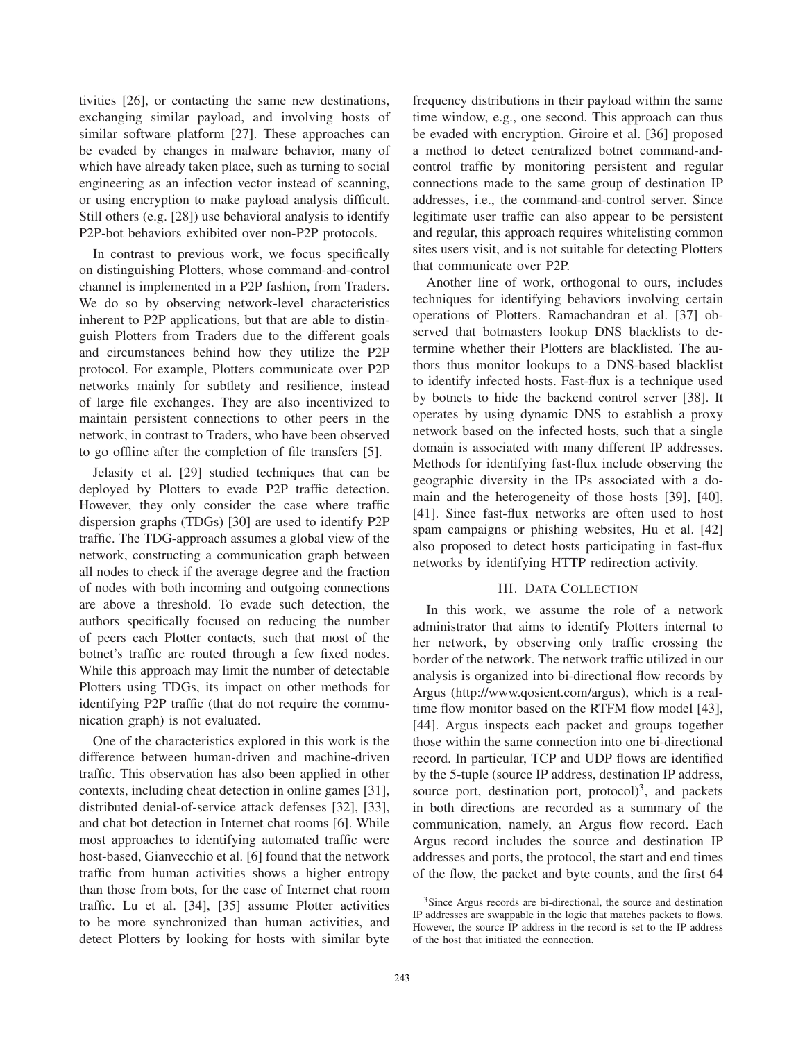tivities [26], or contacting the same new destinations, exchanging similar payload, and involving hosts of similar software platform [27]. These approaches can be evaded by changes in malware behavior, many of which have already taken place, such as turning to social engineering as an infection vector instead of scanning, or using encryption to make payload analysis difficult. Still others (e.g. [28]) use behavioral analysis to identify P2P-bot behaviors exhibited over non-P2P protocols.

In contrast to previous work, we focus specifically on distinguishing Plotters, whose command-and-control channel is implemented in a P2P fashion, from Traders. We do so by observing network-level characteristics inherent to P2P applications, but that are able to distinguish Plotters from Traders due to the different goals and circumstances behind how they utilize the P2P protocol. For example, Plotters communicate over P2P networks mainly for subtlety and resilience, instead of large file exchanges. They are also incentivized to maintain persistent connections to other peers in the network, in contrast to Traders, who have been observed to go offline after the completion of file transfers [5].

Jelasity et al. [29] studied techniques that can be deployed by Plotters to evade P2P traffic detection. However, they only consider the case where traffic dispersion graphs (TDGs) [30] are used to identify P2P traffic. The TDG-approach assumes a global view of the network, constructing a communication graph between all nodes to check if the average degree and the fraction of nodes with both incoming and outgoing connections are above a threshold. To evade such detection, the authors specifically focused on reducing the number of peers each Plotter contacts, such that most of the botnet's traffic are routed through a few fixed nodes. While this approach may limit the number of detectable Plotters using TDGs, its impact on other methods for identifying P2P traffic (that do not require the communication graph) is not evaluated.

One of the characteristics explored in this work is the difference between human-driven and machine-driven traffic. This observation has also been applied in other contexts, including cheat detection in online games [31], distributed denial-of-service attack defenses [32], [33], and chat bot detection in Internet chat rooms [6]. While most approaches to identifying automated traffic were host-based, Gianvecchio et al. [6] found that the network traffic from human activities shows a higher entropy than those from bots, for the case of Internet chat room traffic. Lu et al. [34], [35] assume Plotter activities to be more synchronized than human activities, and detect Plotters by looking for hosts with similar byte frequency distributions in their payload within the same time window, e.g., one second. This approach can thus be evaded with encryption. Giroire et al. [36] proposed a method to detect centralized botnet command-andcontrol traffic by monitoring persistent and regular connections made to the same group of destination IP addresses, i.e., the command-and-control server. Since legitimate user traffic can also appear to be persistent and regular, this approach requires whitelisting common sites users visit, and is not suitable for detecting Plotters that communicate over P2P.

Another line of work, orthogonal to ours, includes techniques for identifying behaviors involving certain operations of Plotters. Ramachandran et al. [37] observed that botmasters lookup DNS blacklists to determine whether their Plotters are blacklisted. The authors thus monitor lookups to a DNS-based blacklist to identify infected hosts. Fast-flux is a technique used by botnets to hide the backend control server [38]. It operates by using dynamic DNS to establish a proxy network based on the infected hosts, such that a single domain is associated with many different IP addresses. Methods for identifying fast-flux include observing the geographic diversity in the IPs associated with a domain and the heterogeneity of those hosts [39], [40], [41]. Since fast-flux networks are often used to host spam campaigns or phishing websites, Hu et al. [42] also proposed to detect hosts participating in fast-flux networks by identifying HTTP redirection activity.

# III. DATA COLLECTION

In this work, we assume the role of a network administrator that aims to identify Plotters internal to her network, by observing only traffic crossing the border of the network. The network traffic utilized in our analysis is organized into bi-directional flow records by Argus (http://www.qosient.com/argus), which is a realtime flow monitor based on the RTFM flow model [43], [44]. Argus inspects each packet and groups together those within the same connection into one bi-directional record. In particular, TCP and UDP flows are identified by the 5-tuple (source IP address, destination IP address, source port, destination port, protocol)<sup>3</sup>, and packets in both directions are recorded as a summary of the communication, namely, an Argus flow record. Each Argus record includes the source and destination IP addresses and ports, the protocol, the start and end times of the flow, the packet and byte counts, and the first 64

<sup>&</sup>lt;sup>3</sup>Since Argus records are bi-directional, the source and destination IP addresses are swappable in the logic that matches packets to flows. However, the source IP address in the record is set to the IP address of the host that initiated the connection.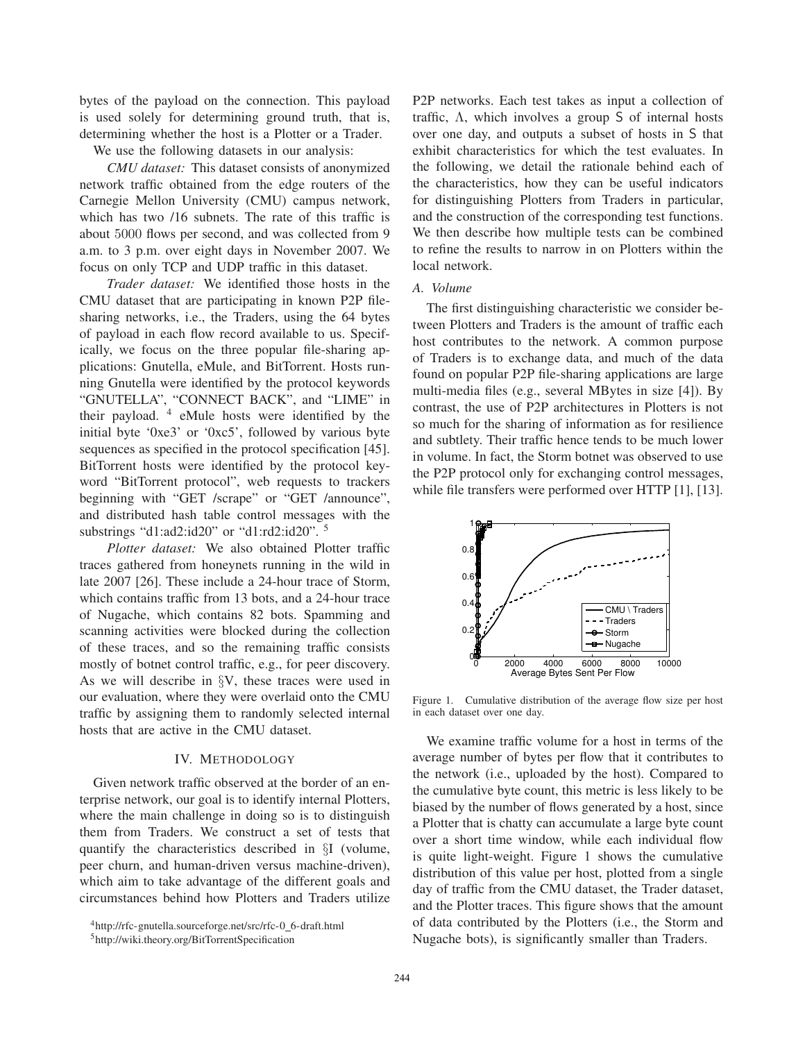bytes of the payload on the connection. This payload is used solely for determining ground truth, that is, determining whether the host is a Plotter or a Trader.

We use the following datasets in our analysis:

*CMU dataset:* This dataset consists of anonymized network traffic obtained from the edge routers of the Carnegie Mellon University (CMU) campus network, which has two /16 subnets. The rate of this traffic is about 5000 flows per second, and was collected from 9 a.m. to 3 p.m. over eight days in November 2007. We focus on only TCP and UDP traffic in this dataset.

*Trader dataset:* We identified those hosts in the CMU dataset that are participating in known P2P filesharing networks, i.e., the Traders, using the 64 bytes of payload in each flow record available to us. Specifically, we focus on the three popular file-sharing applications: Gnutella, eMule, and BitTorrent. Hosts running Gnutella were identified by the protocol keywords "GNUTELLA", "CONNECT BACK", and "LIME" in their payload. <sup>4</sup> eMule hosts were identified by the initial byte '0xe3' or '0xc5', followed by various byte sequences as specified in the protocol specification [45]. BitTorrent hosts were identified by the protocol keyword "BitTorrent protocol", web requests to trackers beginning with "GET /scrape" or "GET /announce", and distributed hash table control messages with the substrings "d1:ad2:id20" or "d1:rd2:id20". <sup>5</sup>

*Plotter dataset:* We also obtained Plotter traffic traces gathered from honeynets running in the wild in late 2007 [26]. These include a 24-hour trace of Storm, which contains traffic from 13 bots, and a 24-hour trace of Nugache, which contains 82 bots. Spamming and scanning activities were blocked during the collection of these traces, and so the remaining traffic consists mostly of botnet control traffic, e.g., for peer discovery. As we will describe in §V, these traces were used in our evaluation, where they were overlaid onto the CMU traffic by assigning them to randomly selected internal hosts that are active in the CMU dataset.

### IV. METHODOLOGY

Given network traffic observed at the border of an enterprise network, our goal is to identify internal Plotters, where the main challenge in doing so is to distinguish them from Traders. We construct a set of tests that quantify the characteristics described in §I (volume, peer churn, and human-driven versus machine-driven), which aim to take advantage of the different goals and circumstances behind how Plotters and Traders utilize P2P networks. Each test takes as input a collection of traffic, Λ, which involves a group S of internal hosts over one day, and outputs a subset of hosts in S that exhibit characteristics for which the test evaluates. In the following, we detail the rationale behind each of the characteristics, how they can be useful indicators for distinguishing Plotters from Traders in particular, and the construction of the corresponding test functions. We then describe how multiple tests can be combined to refine the results to narrow in on Plotters within the local network.

## *A. Volume*

The first distinguishing characteristic we consider between Plotters and Traders is the amount of traffic each host contributes to the network. A common purpose of Traders is to exchange data, and much of the data found on popular P2P file-sharing applications are large multi-media files (e.g., several MBytes in size [4]). By contrast, the use of P2P architectures in Plotters is not so much for the sharing of information as for resilience and subtlety. Their traffic hence tends to be much lower in volume. In fact, the Storm botnet was observed to use the P2P protocol only for exchanging control messages, while file transfers were performed over HTTP [1], [13].



Figure 1. Cumulative distribution of the average flow size per host in each dataset over one day.

We examine traffic volume for a host in terms of the average number of bytes per flow that it contributes to the network (i.e., uploaded by the host). Compared to the cumulative byte count, this metric is less likely to be biased by the number of flows generated by a host, since a Plotter that is chatty can accumulate a large byte count over a short time window, while each individual flow is quite light-weight. Figure 1 shows the cumulative distribution of this value per host, plotted from a single day of traffic from the CMU dataset, the Trader dataset, and the Plotter traces. This figure shows that the amount of data contributed by the Plotters (i.e., the Storm and Nugache bots), is significantly smaller than Traders.

<sup>4</sup>http://rfc-gnutella.sourceforge.net/src/rfc-0 6-draft.html

<sup>5</sup>http://wiki.theory.org/BitTorrentSpecification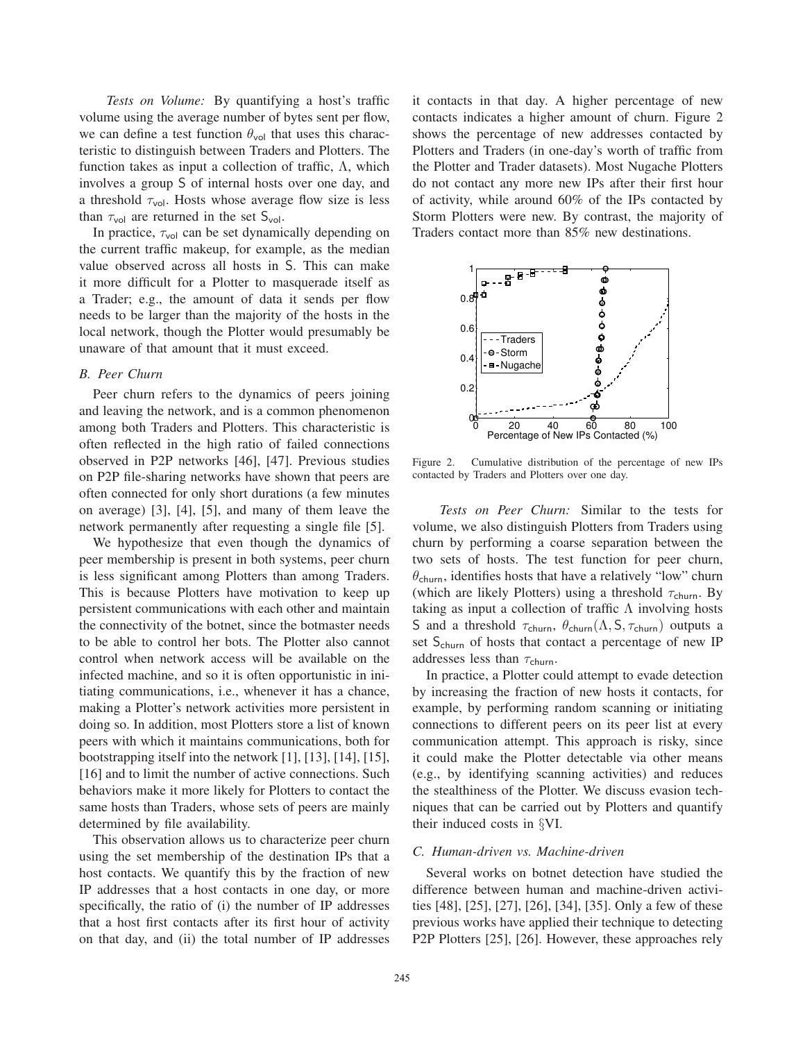*Tests on Volume:* By quantifying a host's traffic volume using the average number of bytes sent per flow, we can define a test function  $\theta_{\text{vol}}$  that uses this characteristic to distinguish between Traders and Plotters. The function takes as input a collection of traffic,  $\Lambda$ , which involves a group S of internal hosts over one day, and a threshold  $\tau_{\text{vol}}$ . Hosts whose average flow size is less than  $\tau_{\text{vol}}$  are returned in the set  $S_{\text{vol}}$ .

In practice,  $\tau_{\text{vol}}$  can be set dynamically depending on the current traffic makeup, for example, as the median value observed across all hosts in S. This can make it more difficult for a Plotter to masquerade itself as a Trader; e.g., the amount of data it sends per flow needs to be larger than the majority of the hosts in the local network, though the Plotter would presumably be unaware of that amount that it must exceed.

### *B. Peer Churn*

Peer churn refers to the dynamics of peers joining and leaving the network, and is a common phenomenon among both Traders and Plotters. This characteristic is often reflected in the high ratio of failed connections observed in P2P networks [46], [47]. Previous studies on P2P file-sharing networks have shown that peers are often connected for only short durations (a few minutes on average) [3], [4], [5], and many of them leave the network permanently after requesting a single file [5].

We hypothesize that even though the dynamics of peer membership is present in both systems, peer churn is less significant among Plotters than among Traders. This is because Plotters have motivation to keep up persistent communications with each other and maintain the connectivity of the botnet, since the botmaster needs to be able to control her bots. The Plotter also cannot control when network access will be available on the infected machine, and so it is often opportunistic in initiating communications, i.e., whenever it has a chance, making a Plotter's network activities more persistent in doing so. In addition, most Plotters store a list of known peers with which it maintains communications, both for bootstrapping itself into the network [1], [13], [14], [15], [16] and to limit the number of active connections. Such behaviors make it more likely for Plotters to contact the same hosts than Traders, whose sets of peers are mainly determined by file availability.

This observation allows us to characterize peer churn using the set membership of the destination IPs that a host contacts. We quantify this by the fraction of new IP addresses that a host contacts in one day, or more specifically, the ratio of (i) the number of IP addresses that a host first contacts after its first hour of activity on that day, and (ii) the total number of IP addresses it contacts in that day. A higher percentage of new contacts indicates a higher amount of churn. Figure 2 shows the percentage of new addresses contacted by Plotters and Traders (in one-day's worth of traffic from the Plotter and Trader datasets). Most Nugache Plotters do not contact any more new IPs after their first hour of activity, while around 60% of the IPs contacted by Storm Plotters were new. By contrast, the majority of Traders contact more than 85% new destinations.



Figure 2. Cumulative distribution of the percentage of new IPs contacted by Traders and Plotters over one day.

*Tests on Peer Churn:* Similar to the tests for volume, we also distinguish Plotters from Traders using churn by performing a coarse separation between the two sets of hosts. The test function for peer churn,  $\theta_{\text{churn}}$ , identifies hosts that have a relatively "low" churn (which are likely Plotters) using a threshold  $\tau_{\text{churn}}$ . By taking as input a collection of traffic  $\Lambda$  involving hosts S and a threshold  $\tau_{\text{churn}}$ ,  $\theta_{\text{churn}}(\Lambda, \mathsf{S}, \tau_{\text{churn}})$  outputs a set S<sub>churn</sub> of hosts that contact a percentage of new IP addresses less than  $\tau_{\text{churn}}$ .

In practice, a Plotter could attempt to evade detection by increasing the fraction of new hosts it contacts, for example, by performing random scanning or initiating connections to different peers on its peer list at every communication attempt. This approach is risky, since it could make the Plotter detectable via other means (e.g., by identifying scanning activities) and reduces the stealthiness of the Plotter. We discuss evasion techniques that can be carried out by Plotters and quantify their induced costs in §VI.

### *C. Human-driven vs. Machine-driven*

Several works on botnet detection have studied the difference between human and machine-driven activities [48], [25], [27], [26], [34], [35]. Only a few of these previous works have applied their technique to detecting P2P Plotters [25], [26]. However, these approaches rely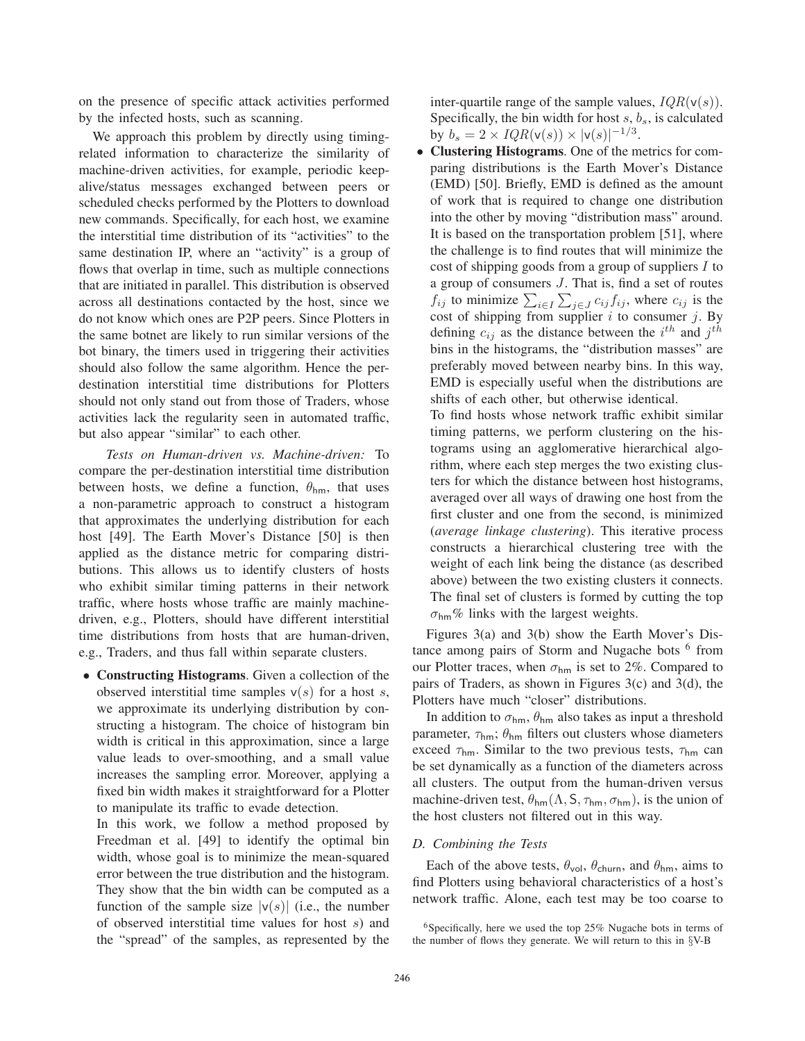on the presence of specific attack activities performed by the infected hosts, such as scanning.

We approach this problem by directly using timingrelated information to characterize the similarity of machine-driven activities, for example, periodic keepalive/status messages exchanged between peers or scheduled checks performed by the Plotters to download new commands. Specifically, for each host, we examine the interstitial time distribution of its "activities" to the same destination IP, where an "activity" is a group of flows that overlap in time, such as multiple connections that are initiated in parallel. This distribution is observed across all destinations contacted by the host, since we do not know which ones are P2P peers. Since Plotters in the same botnet are likely to run similar versions of the bot binary, the timers used in triggering their activities should also follow the same algorithm. Hence the perdestination interstitial time distributions for Plotters should not only stand out from those of Traders, whose activities lack the regularity seen in automated traffic, but also appear "similar" to each other.

*Tests on Human-driven vs. Machine-driven:* To compare the per-destination interstitial time distribution between hosts, we define a function,  $\theta_{hm}$ , that uses a non-parametric approach to construct a histogram that approximates the underlying distribution for each host [49]. The Earth Mover's Distance [50] is then applied as the distance metric for comparing distributions. This allows us to identify clusters of hosts who exhibit similar timing patterns in their network traffic, where hosts whose traffic are mainly machinedriven, e.g., Plotters, should have different interstitial time distributions from hosts that are human-driven, e.g., Traders, and thus fall within separate clusters.

• **Constructing Histograms**. Given a collection of the observed interstitial time samples  $v(s)$  for a host s, we approximate its underlying distribution by constructing a histogram. The choice of histogram bin width is critical in this approximation, since a large value leads to over-smoothing, and a small value increases the sampling error. Moreover, applying a fixed bin width makes it straightforward for a Plotter to manipulate its traffic to evade detection.

In this work, we follow a method proposed by Freedman et al. [49] to identify the optimal bin width, whose goal is to minimize the mean-squared error between the true distribution and the histogram. They show that the bin width can be computed as a function of the sample size  $|v(s)|$  (i.e., the number of observed interstitial time values for host s) and the "spread" of the samples, as represented by the

inter-quartile range of the sample values,  $IQR(v(s))$ . Specifically, the bin width for host  $s, b_s$ , is calculated by  $b_s = 2 \times IQR(v(s)) \times |v(s)|^{-1/3}$ .

• **Clustering Histograms**. One of the metrics for comparing distributions is the Earth Mover's Distance (EMD) [50]. Briefly, EMD is defined as the amount of work that is required to change one distribution into the other by moving "distribution mass" around. It is based on the transportation problem [51], where the challenge is to find routes that will minimize the cost of shipping goods from a group of suppliers I to a group of consumers J. That is, find a set of routes  $f_{ij}$  to minimize  $\sum_{i \in I} \sum_{j \in J} c_{ij} f_{ij}$ , where  $c_{ij}$  is the cost of shipping from supplier  $i$  to consumer  $j$ . By defining  $c_{ij}$  as the distance between the  $i^{th}$  and  $j^{th}$ bins in the histograms, the "distribution masses" are preferably moved between nearby bins. In this way, EMD is especially useful when the distributions are shifts of each other, but otherwise identical.

To find hosts whose network traffic exhibit similar timing patterns, we perform clustering on the histograms using an agglomerative hierarchical algorithm, where each step merges the two existing clusters for which the distance between host histograms, averaged over all ways of drawing one host from the first cluster and one from the second, is minimized (*average linkage clustering*). This iterative process constructs a hierarchical clustering tree with the weight of each link being the distance (as described above) between the two existing clusters it connects. The final set of clusters is formed by cutting the top  $\sigma_{\text{hm}}\%$  links with the largest weights.

Figures 3(a) and 3(b) show the Earth Mover's Distance among pairs of Storm and Nugache bots <sup>6</sup> from our Plotter traces, when  $\sigma_{hm}$  is set to 2%. Compared to pairs of Traders, as shown in Figures 3(c) and 3(d), the Plotters have much "closer" distributions.

In addition to  $\sigma_{hm}$ ,  $\theta_{hm}$  also takes as input a threshold parameter,  $\tau_{hm}$ ;  $\theta_{hm}$  filters out clusters whose diameters exceed  $\tau_{hm}$ . Similar to the two previous tests,  $\tau_{hm}$  can be set dynamically as a function of the diameters across all clusters. The output from the human-driven versus machine-driven test,  $\theta_{hm}(\Lambda, \mathsf{S}, \tau_{hm}, \sigma_{hm})$ , is the union of the host clusters not filtered out in this way.

# *D. Combining the Tests*

Each of the above tests,  $\theta_{\text{vol}}$ ,  $\theta_{\text{churn}}$ , and  $\theta_{\text{hm}}$ , aims to find Plotters using behavioral characteristics of a host's network traffic. Alone, each test may be too coarse to

<sup>&</sup>lt;sup>6</sup>Specifically, here we used the top  $25\%$  Nugache bots in terms of the number of flows they generate. We will return to this in §V-B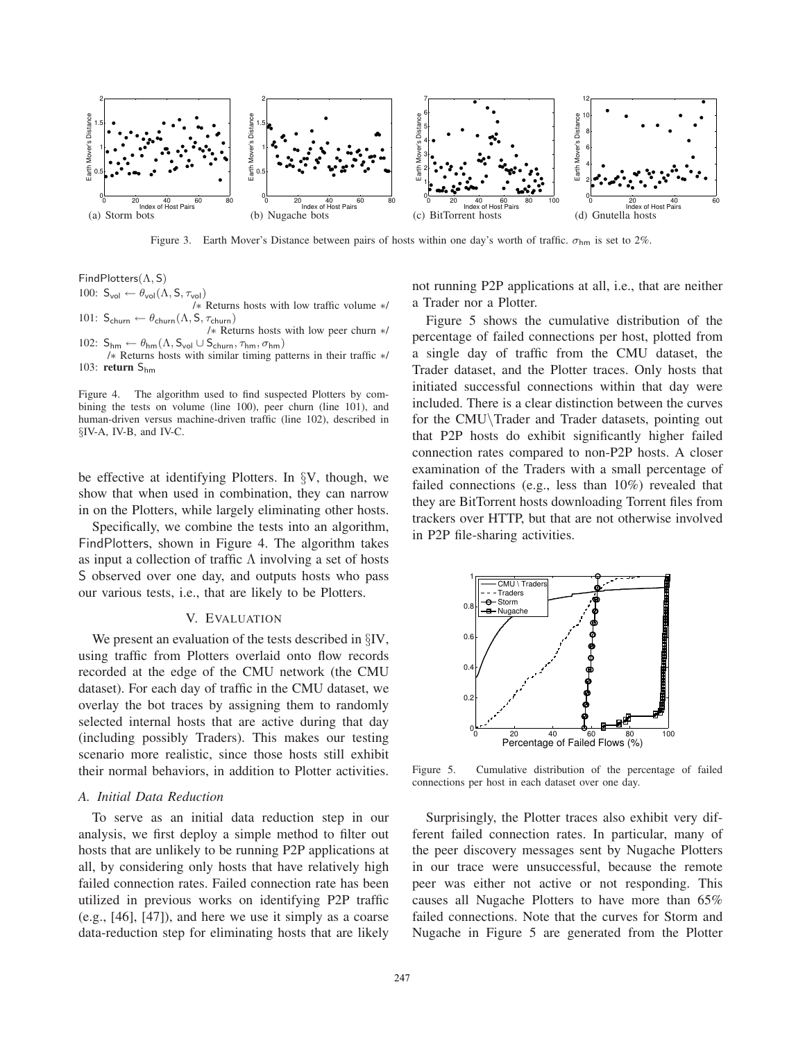

Figure 3. Earth Mover's Distance between pairs of hosts within one day's worth of traffic.  $\sigma_{hm}$  is set to 2%.

FindPlotters(Λ, S)

100:  $S_{vol} \leftarrow \theta_{vol}(\Lambda, S, \tau_{vol})$ 

/∗ Returns hosts with low traffic volume ∗/ 101:  $S_{\text{churn}} \leftarrow \theta_{\text{churn}}(\Lambda, S, \tau_{\text{churn}})$ 

/∗ Returns hosts with low peer churn ∗/ 102:  $S_{hm} \leftarrow \theta_{hm} (\Lambda, S_{vol} \cup S_{churn}, \tau_{hm}, \sigma_{hm})$ 

/∗ Returns hosts with similar timing patterns in their traffic ∗/ 103: **return** Shm

Figure 4. The algorithm used to find suspected Plotters by combining the tests on volume (line 100), peer churn (line 101), and human-driven versus machine-driven traffic (line 102), described in §IV-A, IV-B, and IV-C.

be effective at identifying Plotters. In §V, though, we show that when used in combination, they can narrow in on the Plotters, while largely eliminating other hosts.

Specifically, we combine the tests into an algorithm, FindPlotters, shown in Figure 4. The algorithm takes as input a collection of traffic  $\Lambda$  involving a set of hosts S observed over one day, and outputs hosts who pass our various tests, i.e., that are likely to be Plotters.

### V. EVALUATION

We present an evaluation of the tests described in  $\S$ IV, using traffic from Plotters overlaid onto flow records recorded at the edge of the CMU network (the CMU dataset). For each day of traffic in the CMU dataset, we overlay the bot traces by assigning them to randomly selected internal hosts that are active during that day (including possibly Traders). This makes our testing scenario more realistic, since those hosts still exhibit their normal behaviors, in addition to Plotter activities.

### *A. Initial Data Reduction*

To serve as an initial data reduction step in our analysis, we first deploy a simple method to filter out hosts that are unlikely to be running P2P applications at all, by considering only hosts that have relatively high failed connection rates. Failed connection rate has been utilized in previous works on identifying P2P traffic (e.g., [46], [47]), and here we use it simply as a coarse data-reduction step for eliminating hosts that are likely

not running P2P applications at all, i.e., that are neither a Trader nor a Plotter.

Figure 5 shows the cumulative distribution of the percentage of failed connections per host, plotted from a single day of traffic from the CMU dataset, the Trader dataset, and the Plotter traces. Only hosts that initiated successful connections within that day were included. There is a clear distinction between the curves for the CMU\Trader and Trader datasets, pointing out that P2P hosts do exhibit significantly higher failed connection rates compared to non-P2P hosts. A closer examination of the Traders with a small percentage of failed connections (e.g., less than 10%) revealed that they are BitTorrent hosts downloading Torrent files from trackers over HTTP, but that are not otherwise involved in P2P file-sharing activities.



Figure 5. Cumulative distribution of the percentage of failed connections per host in each dataset over one day.

Surprisingly, the Plotter traces also exhibit very different failed connection rates. In particular, many of the peer discovery messages sent by Nugache Plotters in our trace were unsuccessful, because the remote peer was either not active or not responding. This causes all Nugache Plotters to have more than 65% failed connections. Note that the curves for Storm and Nugache in Figure 5 are generated from the Plotter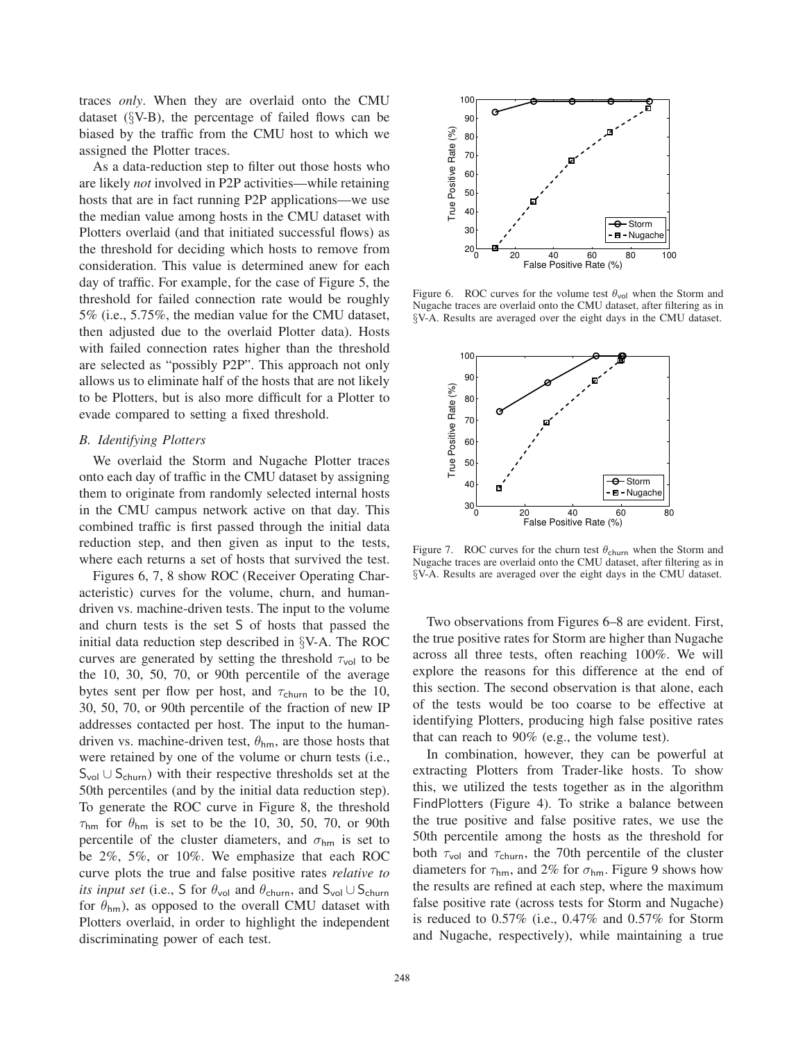traces *only*. When they are overlaid onto the CMU dataset (§V-B), the percentage of failed flows can be biased by the traffic from the CMU host to which we assigned the Plotter traces.

As a data-reduction step to filter out those hosts who are likely *not* involved in P2P activities—while retaining hosts that are in fact running P2P applications—we use the median value among hosts in the CMU dataset with Plotters overlaid (and that initiated successful flows) as the threshold for deciding which hosts to remove from consideration. This value is determined anew for each day of traffic. For example, for the case of Figure 5, the threshold for failed connection rate would be roughly 5% (i.e., 5.75%, the median value for the CMU dataset, then adjusted due to the overlaid Plotter data). Hosts with failed connection rates higher than the threshold are selected as "possibly P2P". This approach not only allows us to eliminate half of the hosts that are not likely to be Plotters, but is also more difficult for a Plotter to evade compared to setting a fixed threshold.

### *B. Identifying Plotters*

We overlaid the Storm and Nugache Plotter traces onto each day of traffic in the CMU dataset by assigning them to originate from randomly selected internal hosts in the CMU campus network active on that day. This combined traffic is first passed through the initial data reduction step, and then given as input to the tests, where each returns a set of hosts that survived the test.

Figures 6, 7, 8 show ROC (Receiver Operating Characteristic) curves for the volume, churn, and humandriven vs. machine-driven tests. The input to the volume and churn tests is the set S of hosts that passed the initial data reduction step described in §V-A. The ROC curves are generated by setting the threshold  $\tau_{\text{vol}}$  to be the 10, 30, 50, 70, or 90th percentile of the average bytes sent per flow per host, and  $\tau_{\text{churn}}$  to be the 10, 30, 50, 70, or 90th percentile of the fraction of new IP addresses contacted per host. The input to the humandriven vs. machine-driven test,  $\theta_{hm}$ , are those hosts that were retained by one of the volume or churn tests (i.e., Svol ∪ Schurn) with their respective thresholds set at the 50th percentiles (and by the initial data reduction step). To generate the ROC curve in Figure 8, the threshold  $\tau_{\rm hm}$  for  $\theta_{\rm hm}$  is set to be the 10, 30, 50, 70, or 90th percentile of the cluster diameters, and  $\sigma_{hm}$  is set to be 2%, 5%, or 10%. We emphasize that each ROC curve plots the true and false positive rates *relative to its input set* (i.e., S for  $\theta_{\text{vol}}$  and  $\theta_{\text{churn}}$ , and  $S_{\text{vol}} \cup S_{\text{churn}}$ for  $\theta_{hm}$ ), as opposed to the overall CMU dataset with Plotters overlaid, in order to highlight the independent discriminating power of each test.



Figure 6. ROC curves for the volume test  $\theta_{\text{vol}}$  when the Storm and Nugache traces are overlaid onto the CMU dataset, after filtering as in §V-A. Results are averaged over the eight days in the CMU dataset.



Figure 7. ROC curves for the churn test  $\theta_{\text{churn}}$  when the Storm and Nugache traces are overlaid onto the CMU dataset, after filtering as in §V-A. Results are averaged over the eight days in the CMU dataset.

Two observations from Figures 6–8 are evident. First, the true positive rates for Storm are higher than Nugache across all three tests, often reaching 100%. We will explore the reasons for this difference at the end of this section. The second observation is that alone, each of the tests would be too coarse to be effective at identifying Plotters, producing high false positive rates that can reach to 90% (e.g., the volume test).

In combination, however, they can be powerful at extracting Plotters from Trader-like hosts. To show this, we utilized the tests together as in the algorithm FindPlotters (Figure 4). To strike a balance between the true positive and false positive rates, we use the 50th percentile among the hosts as the threshold for both  $\tau_{\text{vol}}$  and  $\tau_{\text{churn}}$ , the 70th percentile of the cluster diameters for  $\tau_{hm}$ , and 2% for  $\sigma_{hm}$ . Figure 9 shows how the results are refined at each step, where the maximum false positive rate (across tests for Storm and Nugache) is reduced to 0.57% (i.e., 0.47% and 0.57% for Storm and Nugache, respectively), while maintaining a true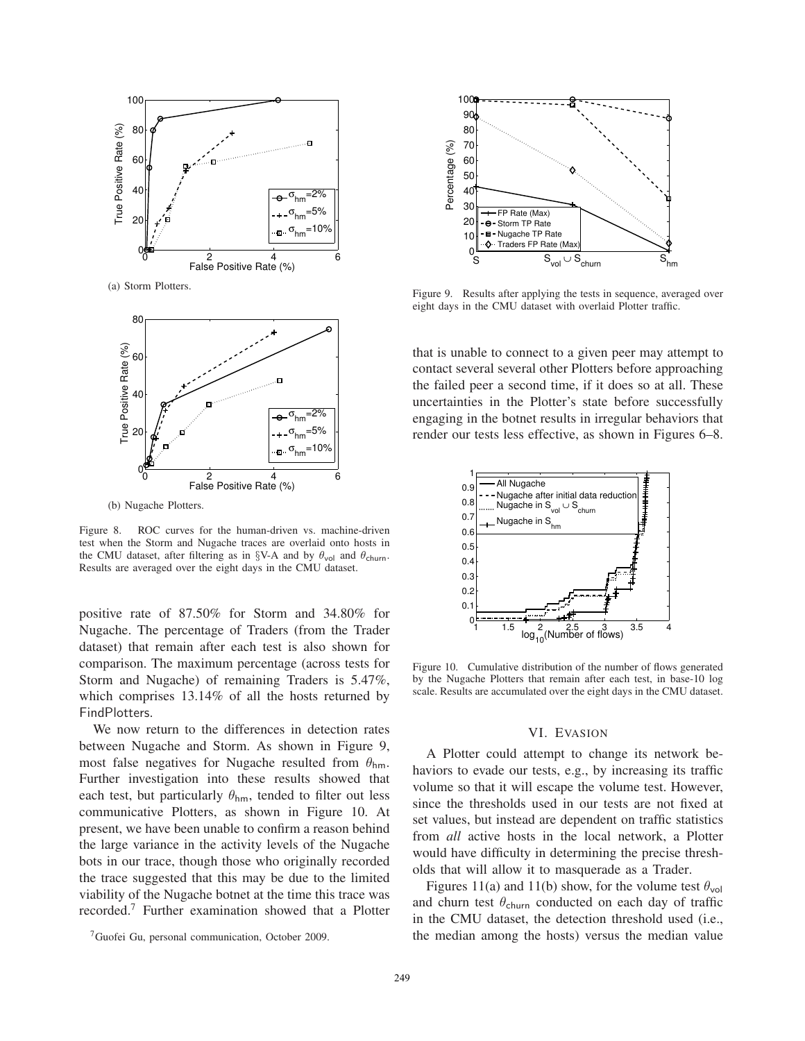

(a) Storm Plotters.



(b) Nugache Plotters.

Figure 8. ROC curves for the human-driven vs. machine-driven test when the Storm and Nugache traces are overlaid onto hosts in the CMU dataset, after filtering as in §V-A and by  $\theta_{\text{vol}}$  and  $\theta_{\text{churn}}$ . Results are averaged over the eight days in the CMU dataset.

positive rate of 87.50% for Storm and 34.80% for Nugache. The percentage of Traders (from the Trader dataset) that remain after each test is also shown for comparison. The maximum percentage (across tests for Storm and Nugache) of remaining Traders is 5.47%, which comprises 13.14% of all the hosts returned by FindPlotters.

We now return to the differences in detection rates between Nugache and Storm. As shown in Figure 9, most false negatives for Nugache resulted from  $\theta_{hm}$ . Further investigation into these results showed that each test, but particularly  $\theta_{hm}$ , tended to filter out less communicative Plotters, as shown in Figure 10. At present, we have been unable to confirm a reason behind the large variance in the activity levels of the Nugache bots in our trace, though those who originally recorded the trace suggested that this may be due to the limited viability of the Nugache botnet at the time this trace was recorded.<sup>7</sup> Further examination showed that a Plotter



Figure 9. Results after applying the tests in sequence, averaged over eight days in the CMU dataset with overlaid Plotter traffic.

that is unable to connect to a given peer may attempt to contact several several other Plotters before approaching the failed peer a second time, if it does so at all. These uncertainties in the Plotter's state before successfully engaging in the botnet results in irregular behaviors that render our tests less effective, as shown in Figures 6–8.



Figure 10. Cumulative distribution of the number of flows generated by the Nugache Plotters that remain after each test, in base-10 log scale. Results are accumulated over the eight days in the CMU dataset.

### VI. EVASION

A Plotter could attempt to change its network behaviors to evade our tests, e.g., by increasing its traffic volume so that it will escape the volume test. However, since the thresholds used in our tests are not fixed at set values, but instead are dependent on traffic statistics from *all* active hosts in the local network, a Plotter would have difficulty in determining the precise thresholds that will allow it to masquerade as a Trader.

Figures 11(a) and 11(b) show, for the volume test  $\theta_{\text{vol}}$ and churn test  $\theta_{\text{churn}}$  conducted on each day of traffic in the CMU dataset, the detection threshold used (i.e., the median among the hosts) versus the median value

<sup>7</sup>Guofei Gu, personal communication, October 2009.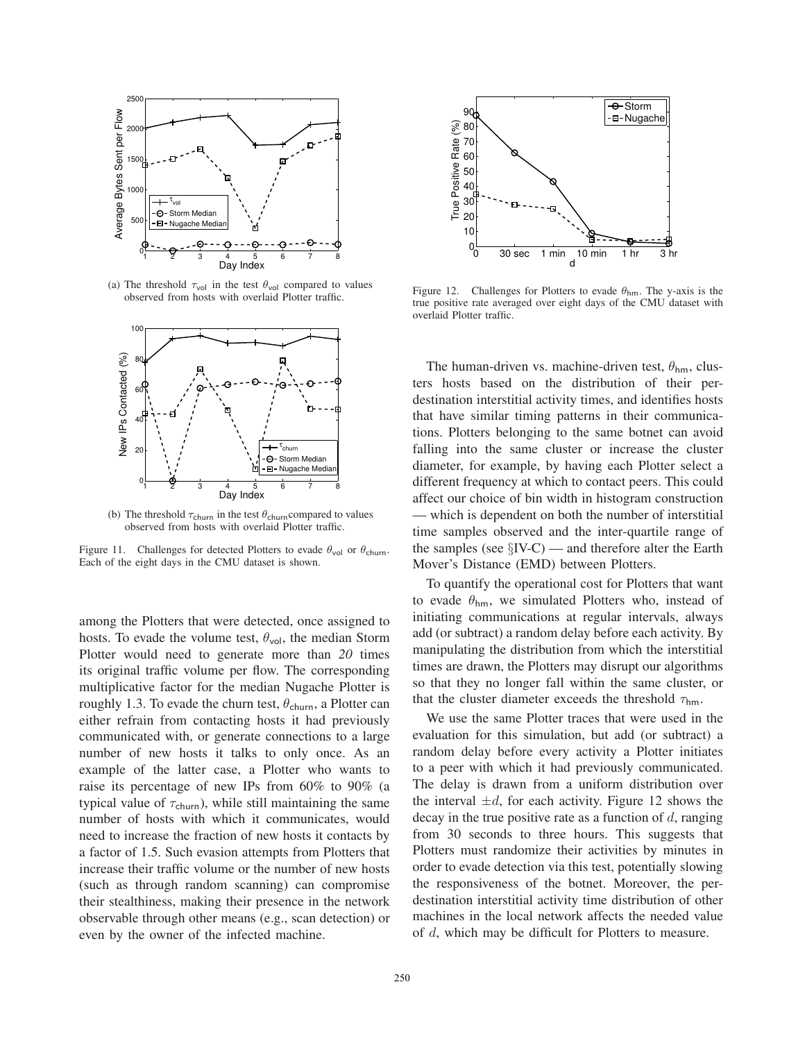

(a) The threshold  $\tau_{\text{vol}}$  in the test  $\theta_{\text{vol}}$  compared to values observed from hosts with overlaid Plotter traffic.



(b) The threshold  $\tau_{\text{churn}}$  in the test  $\theta_{\text{churn}}$  compared to values observed from hosts with overlaid Plotter traffic.

Figure 11. Challenges for detected Plotters to evade  $\theta_{\text{vol}}$  or  $\theta_{\text{churn}}$ . Each of the eight days in the CMU dataset is shown.

among the Plotters that were detected, once assigned to hosts. To evade the volume test,  $\theta_{\text{vol}}$ , the median Storm Plotter would need to generate more than *20* times its original traffic volume per flow. The corresponding multiplicative factor for the median Nugache Plotter is roughly 1.3. To evade the churn test,  $\theta_{\text{churn}}$ , a Plotter can either refrain from contacting hosts it had previously communicated with, or generate connections to a large number of new hosts it talks to only once. As an example of the latter case, a Plotter who wants to raise its percentage of new IPs from 60% to 90% (a typical value of  $\tau_{\text{churn}}$ ), while still maintaining the same number of hosts with which it communicates, would need to increase the fraction of new hosts it contacts by a factor of 1.5. Such evasion attempts from Plotters that increase their traffic volume or the number of new hosts (such as through random scanning) can compromise their stealthiness, making their presence in the network observable through other means (e.g., scan detection) or even by the owner of the infected machine.



Figure 12. Challenges for Plotters to evade  $\theta_{hm}$ . The y-axis is the true positive rate averaged over eight days of the CMU dataset with overlaid Plotter traffic.

The human-driven vs. machine-driven test,  $\theta_{hm}$ , clusters hosts based on the distribution of their perdestination interstitial activity times, and identifies hosts that have similar timing patterns in their communications. Plotters belonging to the same botnet can avoid falling into the same cluster or increase the cluster diameter, for example, by having each Plotter select a different frequency at which to contact peers. This could affect our choice of bin width in histogram construction — which is dependent on both the number of interstitial time samples observed and the inter-quartile range of the samples (see  $\S$ IV-C) — and therefore alter the Earth Mover's Distance (EMD) between Plotters.

To quantify the operational cost for Plotters that want to evade  $\theta_{hm}$ , we simulated Plotters who, instead of initiating communications at regular intervals, always add (or subtract) a random delay before each activity. By manipulating the distribution from which the interstitial times are drawn, the Plotters may disrupt our algorithms so that they no longer fall within the same cluster, or that the cluster diameter exceeds the threshold  $\tau_{hm}$ .

We use the same Plotter traces that were used in the evaluation for this simulation, but add (or subtract) a random delay before every activity a Plotter initiates to a peer with which it had previously communicated. The delay is drawn from a uniform distribution over the interval  $\pm d$ , for each activity. Figure 12 shows the decay in the true positive rate as a function of  $d$ , ranging from 30 seconds to three hours. This suggests that Plotters must randomize their activities by minutes in order to evade detection via this test, potentially slowing the responsiveness of the botnet. Moreover, the perdestination interstitial activity time distribution of other machines in the local network affects the needed value of d, which may be difficult for Plotters to measure.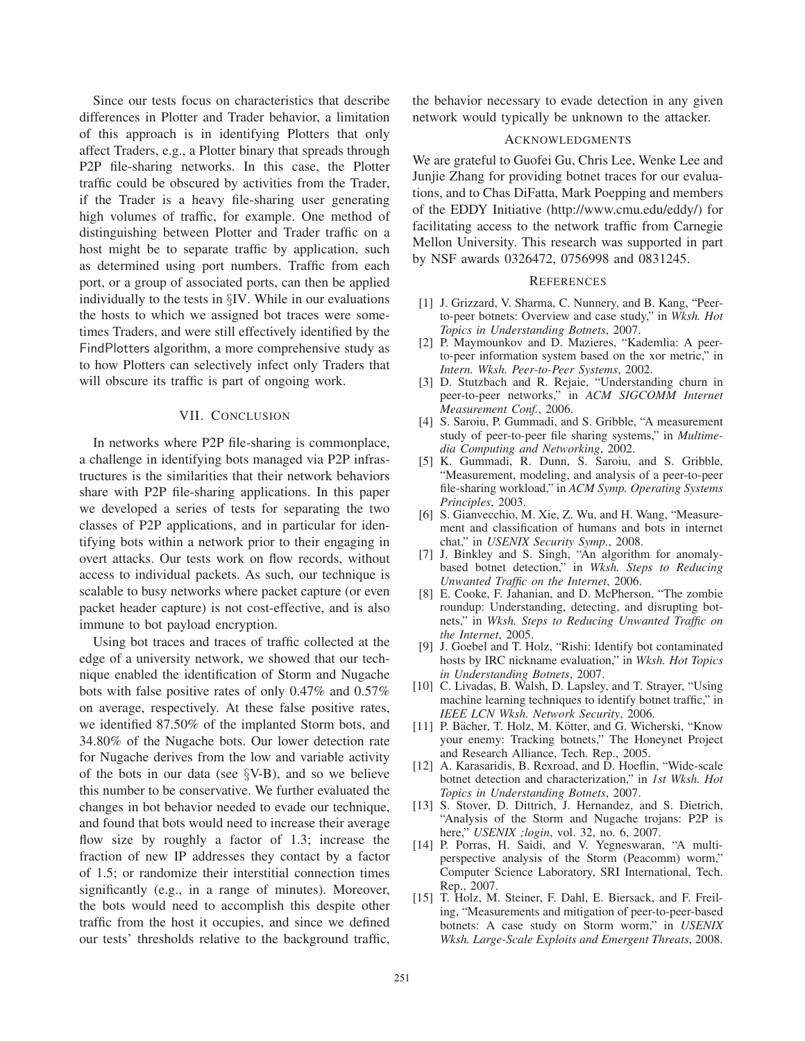Since our tests focus on characteristics that describe differences in Plotter and Trader behavior, a limitation of this approach is in identifying Plotters that only affect Traders, e.g., a Plotter binary that spreads through P2P file-sharing networks. In this case, the Plotter traffic could be obscured by activities from the Trader, if the Trader is a heavy file-sharing user generating high volumes of traffic, for example. One method of distinguishing between Plotter and Trader traffic on a host might be to separate traffic by application, such as determined using port numbers. Traffic from each port, or a group of associated ports, can then be applied individually to the tests in §IV. While in our evaluations the hosts to which we assigned bot traces were sometimes Traders, and were still effectively identified by the FindPlotters algorithm, a more comprehensive study as to how Plotters can selectively infect only Traders that will obscure its traffic is part of ongoing work.

### VII. CONCLUSION

In networks where P2P file-sharing is commonplace, a challenge in identifying bots managed via P2P infrastructures is the similarities that their network behaviors share with P2P file-sharing applications. In this paper we developed a series of tests for separating the two classes of P2P applications, and in particular for identifying bots within a network prior to their engaging in overt attacks. Our tests work on flow records, without access to individual packets. As such, our technique is scalable to busy networks where packet capture (or even packet header capture) is not cost-effective, and is also immune to bot payload encryption.

Using bot traces and traces of traffic collected at the edge of a university network, we showed that our technique enabled the identification of Storm and Nugache bots with false positive rates of only 0.47% and 0.57% on average, respectively. At these false positive rates, we identified 87.50% of the implanted Storm bots, and 34.80% of the Nugache bots. Our lower detection rate for Nugache derives from the low and variable activity of the bots in our data (see  $\S$ V-B), and so we believe this number to be conservative. We further evaluated the changes in bot behavior needed to evade our technique, and found that bots would need to increase their average flow size by roughly a factor of 1.3; increase the fraction of new IP addresses they contact by a factor of 1.5; or randomize their interstitial connection times significantly (e.g., in a range of minutes). Moreover, the bots would need to accomplish this despite other traffic from the host it occupies, and since we defined our tests' thresholds relative to the background traffic, the behavior necessary to evade detection in any given network would typically be unknown to the attacker.

### ACKNOWLEDGMENTS

We are grateful to Guofei Gu, Chris Lee, Wenke Lee and Junjie Zhang for providing botnet traces for our evaluations, and to Chas DiFatta, Mark Poepping and members of the EDDY Initiative (http://www.cmu.edu/eddy/) for facilitating access to the network traffic from Carnegie Mellon University. This research was supported in part by NSF awards 0326472, 0756998 and 0831245.

### **REFERENCES**

- [1] J. Grizzard, V. Sharma, C. Nunnery, and B. Kang, "Peerto-peer botnets: Overview and case study," in *Wksh. Hot Topics in Understanding Botnets*, 2007.
- [2] P. Maymounkov and D. Mazieres, "Kademlia: A peerto-peer information system based on the xor metric," in *Intern. Wksh. Peer-to-Peer Systems*, 2002.
- [3] D. Stutzbach and R. Rejaie, "Understanding churn in peer-to-peer networks," in *ACM SIGCOMM Internet Measurement Conf.*, 2006.
- [4] S. Saroiu, P. Gummadi, and S. Gribble, "A measurement study of peer-to-peer file sharing systems," in *Multimedia Computing and Networking*, 2002.
- [5] K. Gummadi, R. Dunn, S. Saroiu, and S. Gribble, "Measurement, modeling, and analysis of a peer-to-peer file-sharing workload," in *ACM Symp. Operating Systems Principles*, 2003.
- [6] S. Gianvecchio, M. Xie, Z. Wu, and H. Wang, "Measurement and classification of humans and bots in internet chat," in *USENIX Security Symp.*, 2008.
- [7] J. Binkley and S. Singh, "An algorithm for anomalybased botnet detection," in *Wksh. Steps to Reducing Unwanted Traffic on the Internet*, 2006.
- [8] E. Cooke, F. Jahanian, and D. McPherson, "The zombie roundup: Understanding, detecting, and disrupting botnets," in *Wksh. Steps to Reducing Unwanted Traffic on the Internet*, 2005.
- [9] J. Goebel and T. Holz, "Rishi: Identify bot contaminated hosts by IRC nickname evaluation," in *Wksh. Hot Topics in Understanding Botnets*, 2007.
- [10] C. Livadas, B. Walsh, D. Lapsley, and T. Strayer, "Using machine learning techniques to identify botnet traffic," in *IEEE LCN Wksh. Network Security*, 2006.
- [11] P. Bächer, T. Holz, M. Kötter, and G. Wicherski, "Know your enemy: Tracking botnets," The Honeynet Project and Research Alliance, Tech. Rep., 2005.
- [12] A. Karasaridis, B. Rexroad, and D. Hoeflin, "Wide-scale botnet detection and characterization," in *1st Wksh. Hot Topics in Understanding Botnets*, 2007.
- [13] S. Stover, D. Dittrich, J. Hernandez, and S. Dietrich, "Analysis of the Storm and Nugache trojans: P2P is here," *USENIX ;login*, vol. 32, no. 6, 2007.
- [14] P. Porras, H. Saidi, and V. Yegneswaran, "A multiperspective analysis of the Storm (Peacomm) worm," Computer Science Laboratory, SRI International, Tech. Rep., 2007.
- [15] T. Holz, M. Steiner, F. Dahl, E. Biersack, and F. Freiling, "Measurements and mitigation of peer-to-peer-based botnets: A case study on Storm worm," in *USENIX Wksh. Large-Scale Exploits and Emergent Threats*, 2008.